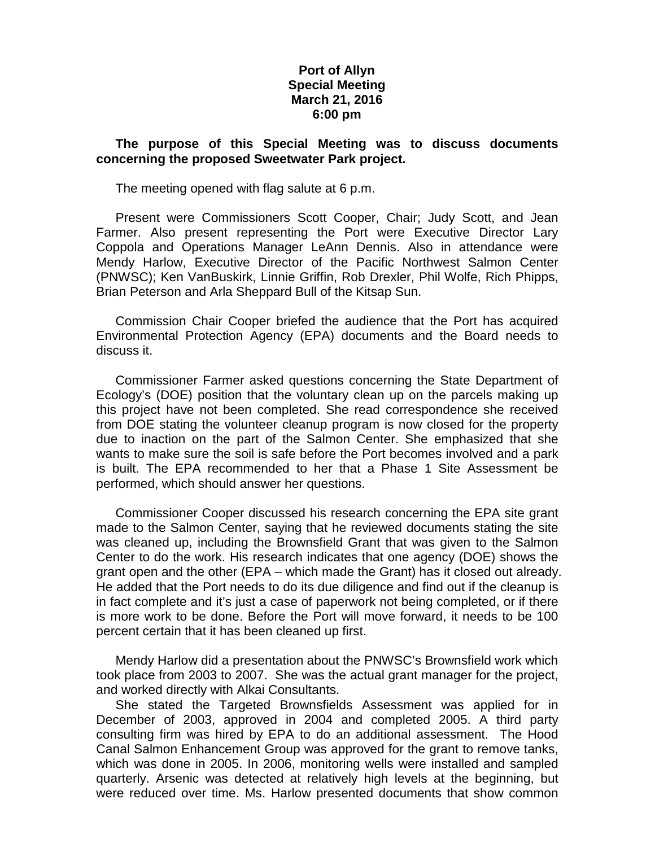## **Port of Allyn Special Meeting March 21, 2016 6:00 pm**

## **The purpose of this Special Meeting was to discuss documents concerning the proposed Sweetwater Park project.**

The meeting opened with flag salute at 6 p.m.

Present were Commissioners Scott Cooper, Chair; Judy Scott, and Jean Farmer. Also present representing the Port were Executive Director Lary Coppola and Operations Manager LeAnn Dennis. Also in attendance were Mendy Harlow, Executive Director of the Pacific Northwest Salmon Center (PNWSC); Ken VanBuskirk, Linnie Griffin, Rob Drexler, Phil Wolfe, Rich Phipps, Brian Peterson and Arla Sheppard Bull of the Kitsap Sun.

Commission Chair Cooper briefed the audience that the Port has acquired Environmental Protection Agency (EPA) documents and the Board needs to discuss it.

Commissioner Farmer asked questions concerning the State Department of Ecology's (DOE) position that the voluntary clean up on the parcels making up this project have not been completed. She read correspondence she received from DOE stating the volunteer cleanup program is now closed for the property due to inaction on the part of the Salmon Center. She emphasized that she wants to make sure the soil is safe before the Port becomes involved and a park is built. The EPA recommended to her that a Phase 1 Site Assessment be performed, which should answer her questions.

Commissioner Cooper discussed his research concerning the EPA site grant made to the Salmon Center, saying that he reviewed documents stating the site was cleaned up, including the Brownsfield Grant that was given to the Salmon Center to do the work. His research indicates that one agency (DOE) shows the grant open and the other (EPA – which made the Grant) has it closed out already. He added that the Port needs to do its due diligence and find out if the cleanup is in fact complete and it's just a case of paperwork not being completed, or if there is more work to be done. Before the Port will move forward, it needs to be 100 percent certain that it has been cleaned up first.

Mendy Harlow did a presentation about the PNWSC's Brownsfield work which took place from 2003 to 2007. She was the actual grant manager for the project, and worked directly with Alkai Consultants.

She stated the Targeted Brownsfields Assessment was applied for in December of 2003, approved in 2004 and completed 2005. A third party consulting firm was hired by EPA to do an additional assessment. The Hood Canal Salmon Enhancement Group was approved for the grant to remove tanks, which was done in 2005. In 2006, monitoring wells were installed and sampled quarterly. Arsenic was detected at relatively high levels at the beginning, but were reduced over time. Ms. Harlow presented documents that show common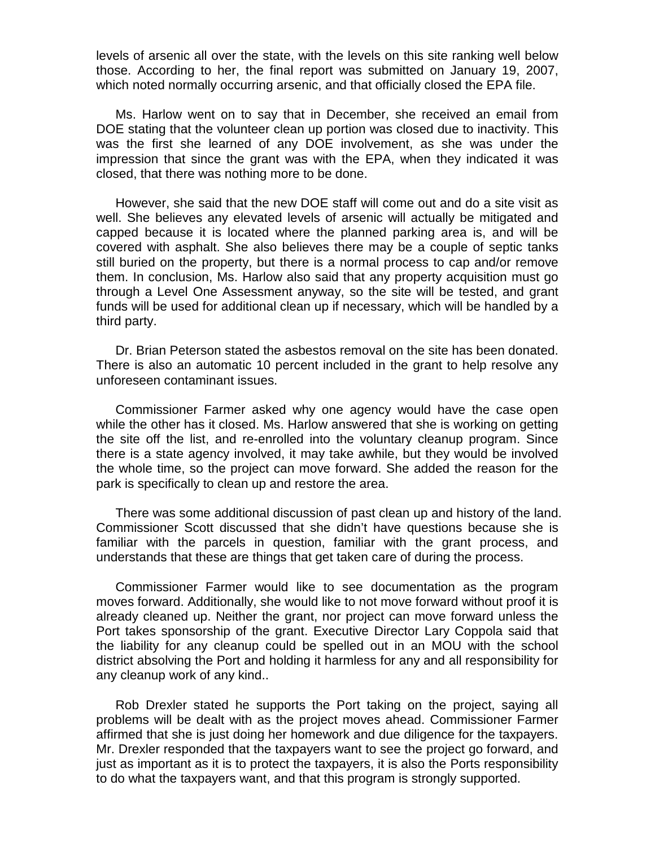levels of arsenic all over the state, with the levels on this site ranking well below those. According to her, the final report was submitted on January 19, 2007, which noted normally occurring arsenic, and that officially closed the EPA file.

Ms. Harlow went on to say that in December, she received an email from DOE stating that the volunteer clean up portion was closed due to inactivity. This was the first she learned of any DOE involvement, as she was under the impression that since the grant was with the EPA, when they indicated it was closed, that there was nothing more to be done.

However, she said that the new DOE staff will come out and do a site visit as well. She believes any elevated levels of arsenic will actually be mitigated and capped because it is located where the planned parking area is, and will be covered with asphalt. She also believes there may be a couple of septic tanks still buried on the property, but there is a normal process to cap and/or remove them. In conclusion, Ms. Harlow also said that any property acquisition must go through a Level One Assessment anyway, so the site will be tested, and grant funds will be used for additional clean up if necessary, which will be handled by a third party.

Dr. Brian Peterson stated the asbestos removal on the site has been donated. There is also an automatic 10 percent included in the grant to help resolve any unforeseen contaminant issues.

Commissioner Farmer asked why one agency would have the case open while the other has it closed. Ms. Harlow answered that she is working on getting the site off the list, and re-enrolled into the voluntary cleanup program. Since there is a state agency involved, it may take awhile, but they would be involved the whole time, so the project can move forward. She added the reason for the park is specifically to clean up and restore the area.

There was some additional discussion of past clean up and history of the land. Commissioner Scott discussed that she didn't have questions because she is familiar with the parcels in question, familiar with the grant process, and understands that these are things that get taken care of during the process.

Commissioner Farmer would like to see documentation as the program moves forward. Additionally, she would like to not move forward without proof it is already cleaned up. Neither the grant, nor project can move forward unless the Port takes sponsorship of the grant. Executive Director Lary Coppola said that the liability for any cleanup could be spelled out in an MOU with the school district absolving the Port and holding it harmless for any and all responsibility for any cleanup work of any kind..

Rob Drexler stated he supports the Port taking on the project, saying all problems will be dealt with as the project moves ahead. Commissioner Farmer affirmed that she is just doing her homework and due diligence for the taxpayers. Mr. Drexler responded that the taxpayers want to see the project go forward, and just as important as it is to protect the taxpayers, it is also the Ports responsibility to do what the taxpayers want, and that this program is strongly supported.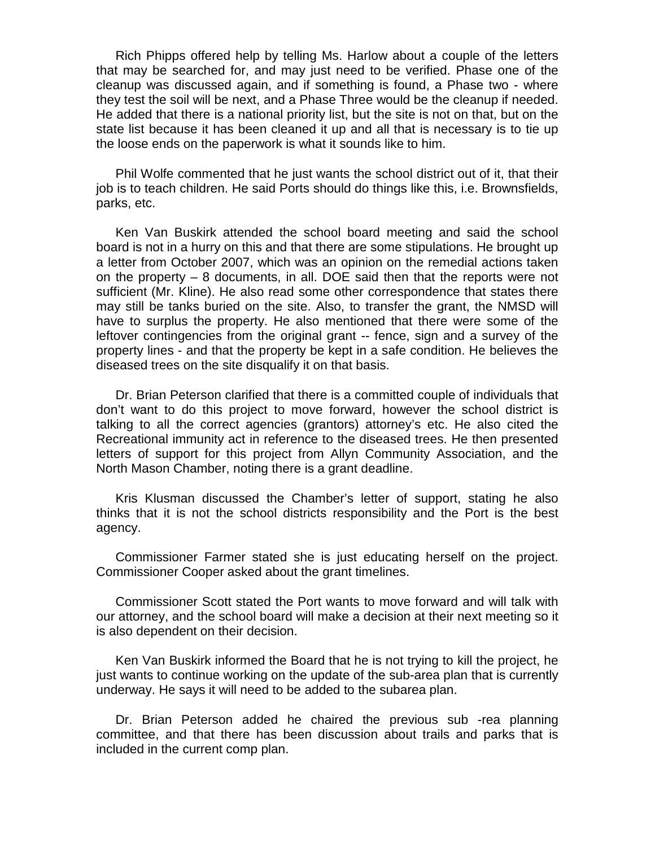Rich Phipps offered help by telling Ms. Harlow about a couple of the letters that may be searched for, and may just need to be verified. Phase one of the cleanup was discussed again, and if something is found, a Phase two - where they test the soil will be next, and a Phase Three would be the cleanup if needed. He added that there is a national priority list, but the site is not on that, but on the state list because it has been cleaned it up and all that is necessary is to tie up the loose ends on the paperwork is what it sounds like to him.

Phil Wolfe commented that he just wants the school district out of it, that their job is to teach children. He said Ports should do things like this, i.e. Brownsfields, parks, etc.

Ken Van Buskirk attended the school board meeting and said the school board is not in a hurry on this and that there are some stipulations. He brought up a letter from October 2007, which was an opinion on the remedial actions taken on the property – 8 documents, in all. DOE said then that the reports were not sufficient (Mr. Kline). He also read some other correspondence that states there may still be tanks buried on the site. Also, to transfer the grant, the NMSD will have to surplus the property. He also mentioned that there were some of the leftover contingencies from the original grant -- fence, sign and a survey of the property lines - and that the property be kept in a safe condition. He believes the diseased trees on the site disqualify it on that basis.

Dr. Brian Peterson clarified that there is a committed couple of individuals that don't want to do this project to move forward, however the school district is talking to all the correct agencies (grantors) attorney's etc. He also cited the Recreational immunity act in reference to the diseased trees. He then presented letters of support for this project from Allyn Community Association, and the North Mason Chamber, noting there is a grant deadline.

Kris Klusman discussed the Chamber's letter of support, stating he also thinks that it is not the school districts responsibility and the Port is the best agency.

Commissioner Farmer stated she is just educating herself on the project. Commissioner Cooper asked about the grant timelines.

Commissioner Scott stated the Port wants to move forward and will talk with our attorney, and the school board will make a decision at their next meeting so it is also dependent on their decision.

Ken Van Buskirk informed the Board that he is not trying to kill the project, he just wants to continue working on the update of the sub-area plan that is currently underway. He says it will need to be added to the subarea plan.

Dr. Brian Peterson added he chaired the previous sub -rea planning committee, and that there has been discussion about trails and parks that is included in the current comp plan.